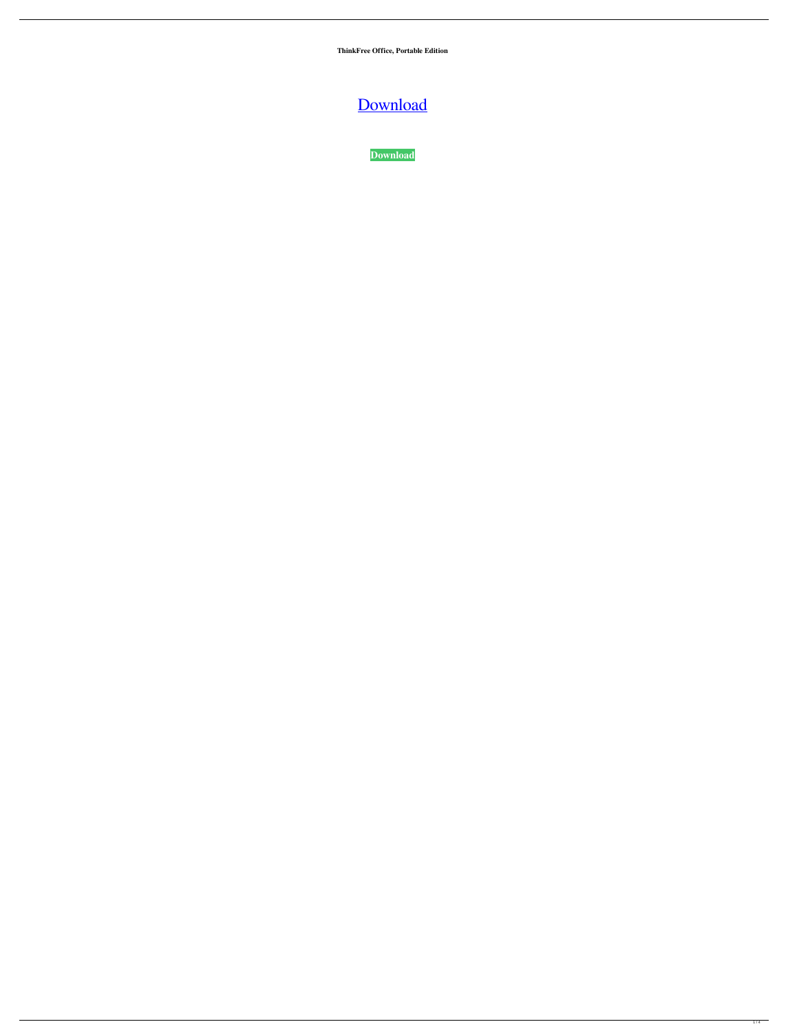**ThinkFree Office, Portable Edition**

[Download](http://evacdir.com/ZG93bmxvYWR8QlgxTXprMlozeDhNVFkxTkRVeU1qRXhNSHg4TWpVNE4zeDhLRTBwSUVobGNtOXJkU0JiUm1GemRDQkhSVTVk.moonwalking/?daughter=/VGhpbmtGcmVlIE9mZmljZSwgUG9ydGFibGUgRWRpdGlvbgVGh/ironwood.fixes)

**[Download](http://evacdir.com/ZG93bmxvYWR8QlgxTXprMlozeDhNVFkxTkRVeU1qRXhNSHg4TWpVNE4zeDhLRTBwSUVobGNtOXJkU0JiUm1GemRDQkhSVTVk.moonwalking/?daughter=/VGhpbmtGcmVlIE9mZmljZSwgUG9ydGFibGUgRWRpdGlvbgVGh/ironwood.fixes)**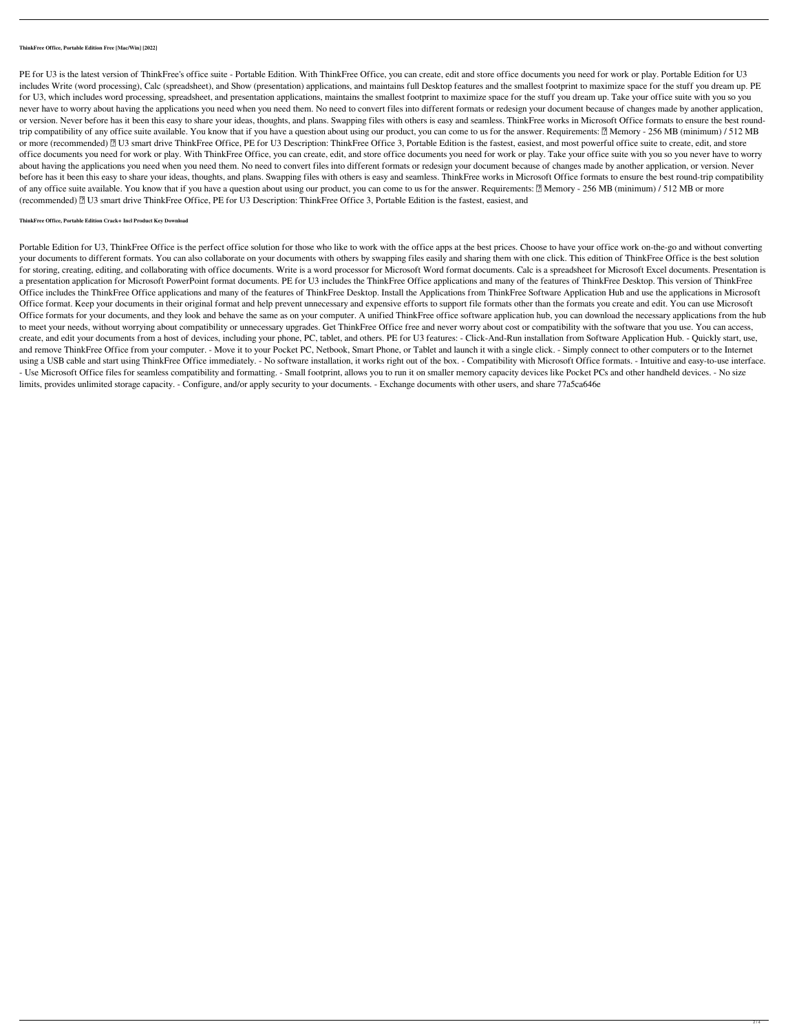## **ThinkFree Office, Portable Edition Free [Mac/Win] [2022]**

PE for U3 is the latest version of ThinkFree's office suite - Portable Edition. With ThinkFree Office, you can create, edit and store office documents you need for work or play. Portable Edition for U3 includes Write (word processing), Calc (spreadsheet), and Show (presentation) applications, and maintains full Desktop features and the smallest footprint to maximize space for the stuff you dream up. PE for U3, which includes word processing, spreadsheet, and presentation applications, maintains the smallest footprint to maximize space for the stuff you dream up. Take your office suite with you so you never have to worry about having the applications you need when you need them. No need to convert files into different formats or redesign your document because of changes made by another application, or version. Never before has it been this easy to share your ideas, thoughts, and plans. Swapping files with others is easy and seamless. ThinkFree works in Microsoft Office formats to ensure the best roundtrip compatibility of any office suite available. You know that if you have a question about using our product, you can come to us for the answer. Requirements: 2 Memory - 256 MB (minimum) / 512 MB or more (recommended) 2 U3 smart drive ThinkFree Office, PE for U3 Description: ThinkFree Office 3, Portable Edition is the fastest, easiest, and most powerful office suite to create, edit, and store office documents you need for work or play. With ThinkFree Office, you can create, edit, and store office documents you need for work or play. Take your office suite with you so you never have to worry about having the applications you need when you need them. No need to convert files into different formats or redesign your document because of changes made by another application, or version. Never before has it been this easy to share your ideas, thoughts, and plans. Swapping files with others is easy and seamless. ThinkFree works in Microsoft Office formats to ensure the best round-trip compatibility of any office suite available. You know that if you have a question about using our product, you can come to us for the answer. Requirements: 2 Memory - 256 MB (minimum) / 512 MB or more (recommended) <sup>[2]</sup> U3 smart drive ThinkFree Office, PE for U3 Description: ThinkFree Office 3, Portable Edition is the fastest, easiest, and

## **ThinkFree Office, Portable Edition Crack+ Incl Product Key Download**

Portable Edition for U3, ThinkFree Office is the perfect office solution for those who like to work with the office apps at the best prices. Choose to have your office work on-the-go and without converting your documents to different formats. You can also collaborate on your documents with others by swapping files easily and sharing them with one click. This edition of ThinkFree Office is the best solution for storing, creating, editing, and collaborating with office documents. Write is a word processor for Microsoft Word format documents. Calc is a spreadsheet for Microsoft Excel documents. Presentation is a presentation application for Microsoft PowerPoint format documents. PE for U3 includes the ThinkFree Office applications and many of the features of ThinkFree Desktop. This version of ThinkFree Office includes the ThinkFree Office applications and many of the features of ThinkFree Desktop. Install the Applications from ThinkFree Software Application Hub and use the applications in Microsoft Office format. Keep your documents in their original format and help prevent unnecessary and expensive efforts to support file formats other than the formats you create and edit. You can use Microsoft Office formats for your documents, and they look and behave the same as on your computer. A unified ThinkFree office software application hub, you can download the necessary applications from the hub to meet your needs, without worrying about compatibility or unnecessary upgrades. Get ThinkFree Office free and never worry about cost or compatibility with the software that you use. You can access, create, and edit your documents from a host of devices, including your phone, PC, tablet, and others. PE for U3 features: - Click-And-Run installation from Software Application Hub. - Quickly start, use, and remove ThinkFree Office from your computer. - Move it to your Pocket PC, Netbook, Smart Phone, or Tablet and launch it with a single click. - Simply connect to other computers or to the Internet using a USB cable and start using ThinkFree Office immediately. - No software installation, it works right out of the box. - Compatibility with Microsoft Office formats. - Intuitive and easy-to-use interface. - Use Microsoft Office files for seamless compatibility and formatting. - Small footprint, allows you to run it on smaller memory capacity devices like Pocket PCs and other handheld devices. - No size limits, provides unlimited storage capacity. - Configure, and/or apply security to your documents. - Exchange documents with other users, and share 77a5ca646e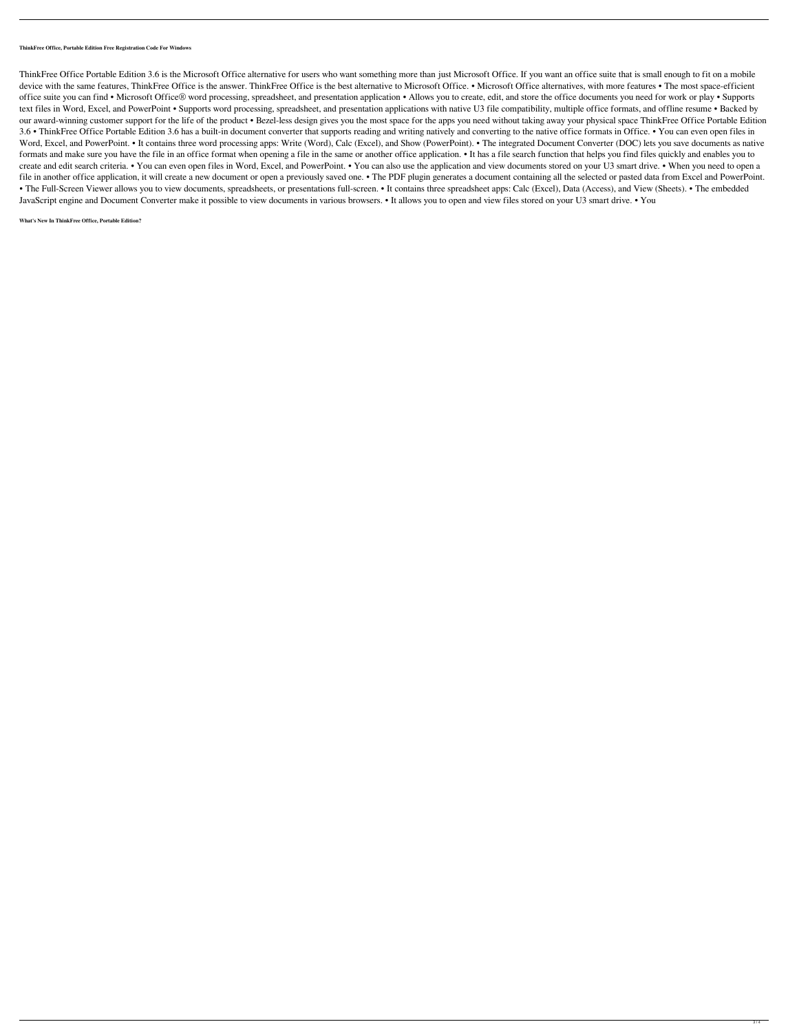**ThinkFree Office, Portable Edition Free Registration Code For Windows**

ThinkFree Office Portable Edition 3.6 is the Microsoft Office alternative for users who want something more than just Microsoft Office. If you want an office suite that is small enough to fit on a mobile device with the same features, ThinkFree Office is the answer. ThinkFree Office is the best alternative to Microsoft Office. • Microsoft Office alternatives, with more features • The most space-efficient office suite you can find • Microsoft Office® word processing, spreadsheet, and presentation application • Allows you to create, edit, and store the office documents you need for work or play • Supports text files in Word, Excel, and PowerPoint • Supports word processing, spreadsheet, and presentation applications with native U3 file compatibility, multiple office formats, and offline resume • Backed by our award-winning customer support for the life of the product • Bezel-less design gives you the most space for the apps you need without taking away your physical space ThinkFree Office Portable Edition 3.6 • ThinkFree Office Portable Edition 3.6 has a built-in document converter that supports reading and writing natively and converting to the native office formats in Office. • You can even open files in Word, Excel, and PowerPoint. • It contains three word processing apps: Write (Word), Calc (Excel), and Show (PowerPoint). • The integrated Document Converter (DOC) lets you save documents as native formats and make sure you have the file in an office format when opening a file in the same or another office application. • It has a file search function that helps you find files quickly and enables you to create and edit search criteria. • You can even open files in Word, Excel, and PowerPoint. • You can also use the application and view documents stored on your U3 smart drive. • When you need to open a file in another office application, it will create a new document or open a previously saved one. • The PDF plugin generates a document containing all the selected or pasted data from Excel and PowerPoint. • The Full-Screen Viewer allows you to view documents, spreadsheets, or presentations full-screen. • It contains three spreadsheet apps: Calc (Excel), Data (Access), and View (Sheets). • The embedded JavaScript engine and Document Converter make it possible to view documents in various browsers. • It allows you to open and view files stored on your U3 smart drive. • You

## **What's New In ThinkFree Office, Portable Edition?**